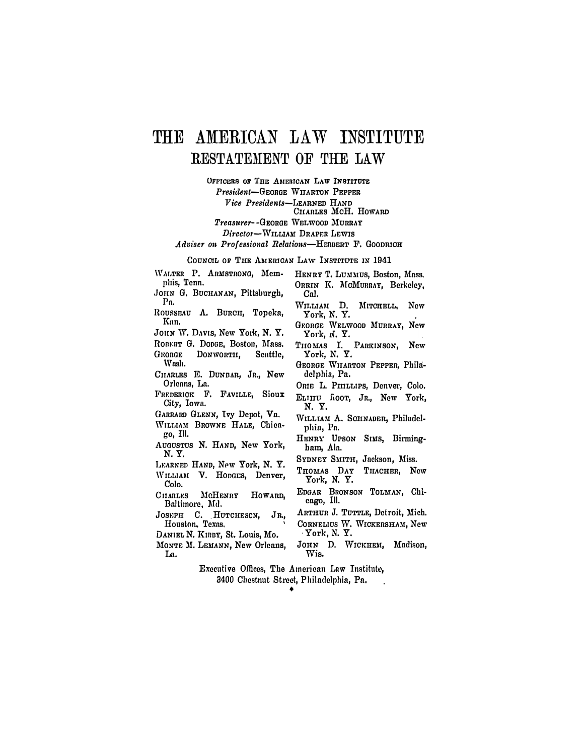## THE AMERICAN LAW INSTITUTE RESTATEMENT OF THE LAW

OFFICERS OF THE AMERICAN LAW INSTITUTE President-GEORGE WIIARTON PEPPER Vice Presidents-LEARNED HAND CHARLES MCH. HOWARD Treasurer--GEORGE WELWOOD MURRAY

Director-WILLIAM DRAPER LEWIS

Adviser on Professional Relations-HERBERT F. GOODRICH

COUNCIL OF THE AMERICAN LAW INSTITUTE IN 1941

WALTER P. ARMSTRONG, Memphis, Tenn.

- JOHN G. BUCHANAN, Pittsburgh, Pn.
- ROUSSEAU A. BURCH, Topeka, Kan.

JOHN W. DAVIS, New York, N. Y.

- ROBERT G. DODGE, Boston, Mass. GEORGE DONWORTH, Seattle. Wash.
- CHARLES E. DUNBAR, JR., New Orleans, La.
- FREDERICK F. FAVILLE, Sioux City, Iowa.
- GARRARD GLENN, Tvy Depot, Va.
- WILLIAM BROWNE HALE, Chicago, Ill.
- AUGUSTUS N. HAND, New York, N.Y.
- LEARNED HAND, New York, N. Y. WILLIAM V. HODGES, Denver,
- Colo. CHARLES MCHENRY HOWARD. Baltimore, Md.
- JOSEPH C. HUTCHESON, JR, Houston, Texas.
- DANIEL N. KIRBY, St. Louis, Mo.
- MONTE M. LEMANN, New Orleans, La.
- HENRY T. LUMMUS, Boston, Mass. ORRIN K. MCMURRAY, Berkeley. Cal.
- WILLIAM D. MITCHELL, New York, N.Y.
- GEORGE WELWOOD MURRAY, New York, N. Y.
- THOMAS I. PARKINSON, New York, N. Y.
- GEORGE WILARTON PEPPER, Philadelphia, Pa.
- ORIE L. PHILLIPS, Denver, Colo.
- ELIHU hoor, JR., New York, N. Y.
- WILLIAM A. SCHNADER, Philadelphia, Pa.
- HENRY UPSON SIMS, Birmingham, Ala.
- SYDNEY SMITH, Jackson, Miss.
- THOMAS DAY THACHER, New York, N. Y.
- EDGAR BRONSON TOLMAN, Chicago, Ill.
- ARTHUR J. TUTTLE, Detroit, Mich.
- CORNELIUS W. WICKERSHAM, New York, N. Y.
- JOHN D. WICKHEM, Madison, Wis.
- Executive Offices, The American Law Institute, 3400 Chestnut Street, Philadelphia, Pa,